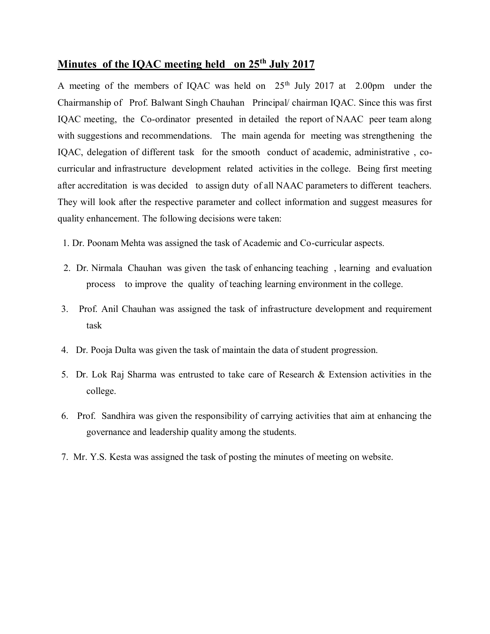## **Minutes of the IQAC meeting held on 25th July 2017**

A meeting of the members of IQAC was held on  $25<sup>th</sup>$  July 2017 at 2.00pm under the Chairmanship of Prof. Balwant Singh Chauhan Principal/ chairman IQAC. Since this was first IQAC meeting, the Co-ordinator presented in detailed the report of NAAC peer team along with suggestions and recommendations. The main agenda for meeting was strengthening the IQAC, delegation of different task for the smooth conduct of academic, administrative , cocurricular and infrastructure development related activities in the college. Being first meeting after accreditation is was decided to assign duty of all NAAC parameters to different teachers. They will look after the respective parameter and collect information and suggest measures for quality enhancement. The following decisions were taken:

1. Dr. Poonam Mehta was assigned the task of Academic and Co-curricular aspects.

- 2. Dr. Nirmala Chauhan was given the task of enhancing teaching , learning and evaluation process to improve the quality of teaching learning environment in the college.
- 3. Prof. Anil Chauhan was assigned the task of infrastructure development and requirement task
- 4. Dr. Pooja Dulta was given the task of maintain the data of student progression.
- 5. Dr. Lok Raj Sharma was entrusted to take care of Research & Extension activities in the college.
- 6. Prof. Sandhira was given the responsibility of carrying activities that aim at enhancing the governance and leadership quality among the students.
- 7. Mr. Y.S. Kesta was assigned the task of posting the minutes of meeting on website.